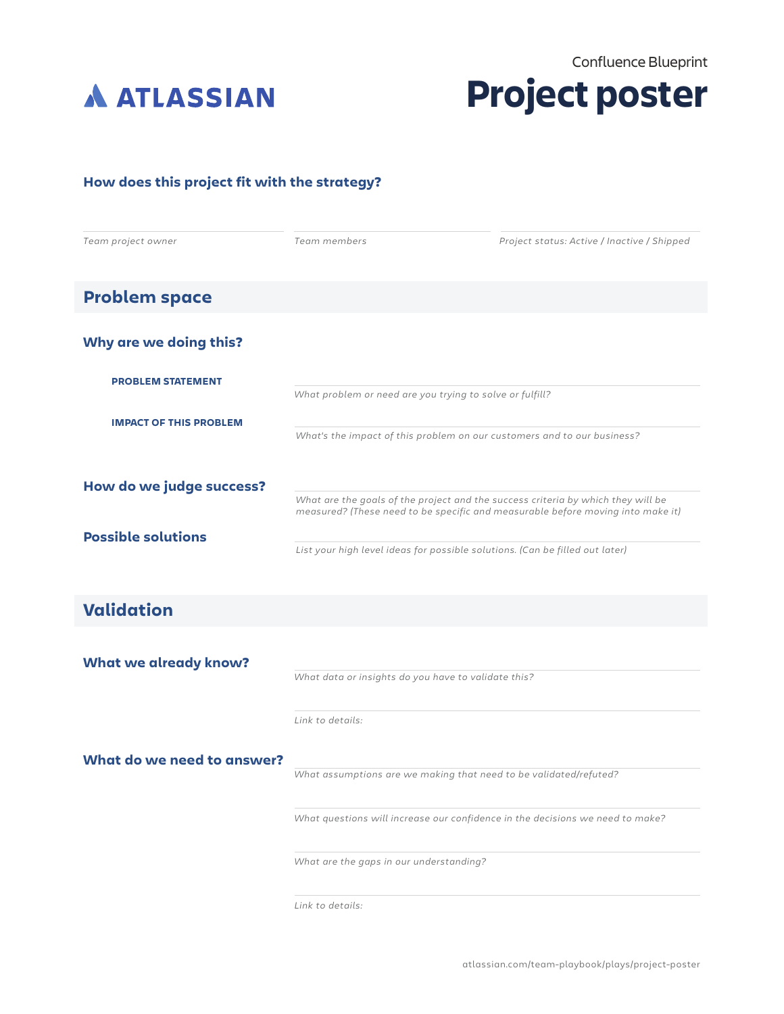



## **How does this project fit with the strategy?**

| Team project owner                | Team members                                                                                                                                                        | Project status: Active / Inactive / Shipped |
|-----------------------------------|---------------------------------------------------------------------------------------------------------------------------------------------------------------------|---------------------------------------------|
| <b>Problem space</b>              |                                                                                                                                                                     |                                             |
| Why are we doing this?            |                                                                                                                                                                     |                                             |
| <b>PROBLEM STATEMENT</b>          | What problem or need are you trying to solve or fulfill?                                                                                                            |                                             |
| <b>IMPACT OF THIS PROBLEM</b>     | What's the impact of this problem on our customers and to our business?                                                                                             |                                             |
| How do we judge success?          | What are the goals of the project and the success criteria by which they will be<br>measured? (These need to be specific and measurable before moving into make it) |                                             |
| <b>Possible solutions</b>         | List your high level ideas for possible solutions. (Can be filled out later)                                                                                        |                                             |
| <b>Validation</b>                 |                                                                                                                                                                     |                                             |
| <b>What we already know?</b>      | What data or insights do you have to validate this?                                                                                                                 |                                             |
|                                   | Link to details:                                                                                                                                                    |                                             |
| <b>What do we need to answer?</b> |                                                                                                                                                                     |                                             |

*What assumptions are we making that need to be validated/refuted?*

*What questions will increase our confidence in the decisions we need to make?*

*What are the gaps in our understanding?*

*Link to details:*